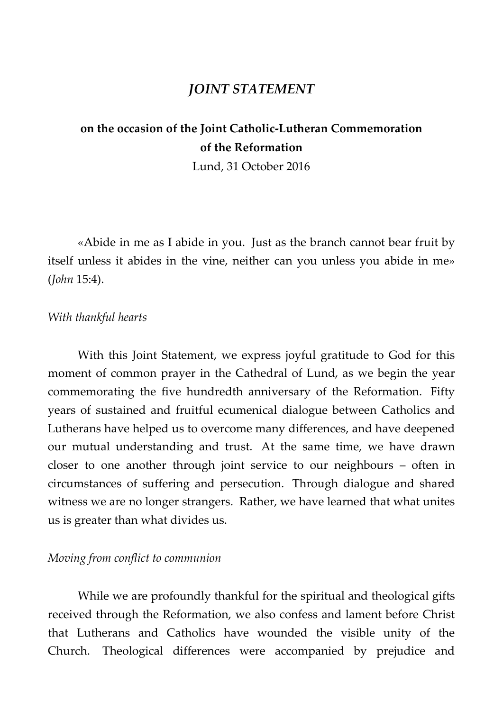## *JOINT STATEMENT*

# **on the occasion of the Joint Catholic-Lutheran Commemoration of the Reformation**

Lund, 31 October 2016

«Abide in me as I abide in you. Just as the branch cannot bear fruit by itself unless it abides in the vine, neither can you unless you abide in me» (*John* 15:4).

## *With thankful hearts*

With this Joint Statement, we express joyful gratitude to God for this moment of common prayer in the Cathedral of Lund, as we begin the year commemorating the five hundredth anniversary of the Reformation. Fifty years of sustained and fruitful ecumenical dialogue between Catholics and Lutherans have helped us to overcome many differences, and have deepened our mutual understanding and trust. At the same time, we have drawn closer to one another through joint service to our neighbours – often in circumstances of suffering and persecution. Through dialogue and shared witness we are no longer strangers. Rather, we have learned that what unites us is greater than what divides us.

## *Moving from conflict to communion*

While we are profoundly thankful for the spiritual and theological gifts received through the Reformation, we also confess and lament before Christ that Lutherans and Catholics have wounded the visible unity of the Church. Theological differences were accompanied by prejudice and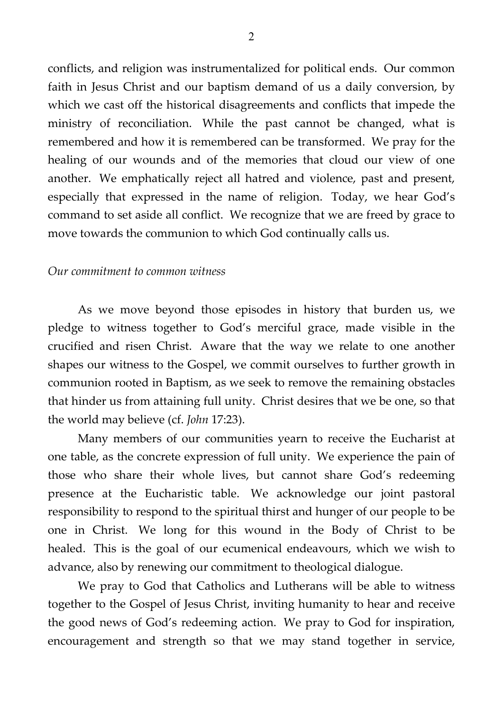conflicts, and religion was instrumentalized for political ends. Our common faith in Jesus Christ and our baptism demand of us a daily conversion, by which we cast off the historical disagreements and conflicts that impede the ministry of reconciliation. While the past cannot be changed, what is remembered and how it is remembered can be transformed. We pray for the healing of our wounds and of the memories that cloud our view of one another. We emphatically reject all hatred and violence, past and present, especially that expressed in the name of religion. Today, we hear God's command to set aside all conflict. We recognize that we are freed by grace to move towards the communion to which God continually calls us.

### *Our commitment to common witness*

As we move beyond those episodes in history that burden us, we pledge to witness together to God's merciful grace, made visible in the crucified and risen Christ. Aware that the way we relate to one another shapes our witness to the Gospel, we commit ourselves to further growth in communion rooted in Baptism, as we seek to remove the remaining obstacles that hinder us from attaining full unity. Christ desires that we be one, so that the world may believe (cf. *John* 17:23).

Many members of our communities yearn to receive the Eucharist at one table, as the concrete expression of full unity. We experience the pain of those who share their whole lives, but cannot share God's redeeming presence at the Eucharistic table. We acknowledge our joint pastoral responsibility to respond to the spiritual thirst and hunger of our people to be one in Christ. We long for this wound in the Body of Christ to be healed. This is the goal of our ecumenical endeavours, which we wish to advance, also by renewing our commitment to theological dialogue.

We pray to God that Catholics and Lutherans will be able to witness together to the Gospel of Jesus Christ, inviting humanity to hear and receive the good news of God's redeeming action. We pray to God for inspiration, encouragement and strength so that we may stand together in service,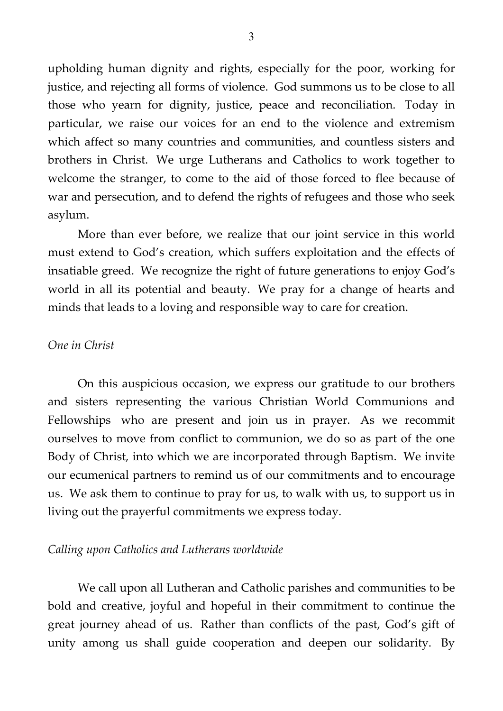upholding human dignity and rights, especially for the poor, working for justice, and rejecting all forms of violence. God summons us to be close to all those who yearn for dignity, justice, peace and reconciliation. Today in particular, we raise our voices for an end to the violence and extremism which affect so many countries and communities, and countless sisters and brothers in Christ. We urge Lutherans and Catholics to work together to welcome the stranger, to come to the aid of those forced to flee because of war and persecution, and to defend the rights of refugees and those who seek asylum.

More than ever before, we realize that our joint service in this world must extend to God's creation, which suffers exploitation and the effects of insatiable greed. We recognize the right of future generations to enjoy God's world in all its potential and beauty. We pray for a change of hearts and minds that leads to a loving and responsible way to care for creation.

## *One in Christ*

On this auspicious occasion, we express our gratitude to our brothers and sisters representing the various Christian World Communions and Fellowships who are present and join us in prayer. As we recommit ourselves to move from conflict to communion, we do so as part of the one Body of Christ, into which we are incorporated through Baptism. We invite our ecumenical partners to remind us of our commitments and to encourage us. We ask them to continue to pray for us, to walk with us, to support us in living out the prayerful commitments we express today.

### *Calling upon Catholics and Lutherans worldwide*

We call upon all Lutheran and Catholic parishes and communities to be bold and creative, joyful and hopeful in their commitment to continue the great journey ahead of us. Rather than conflicts of the past, God's gift of unity among us shall guide cooperation and deepen our solidarity. By